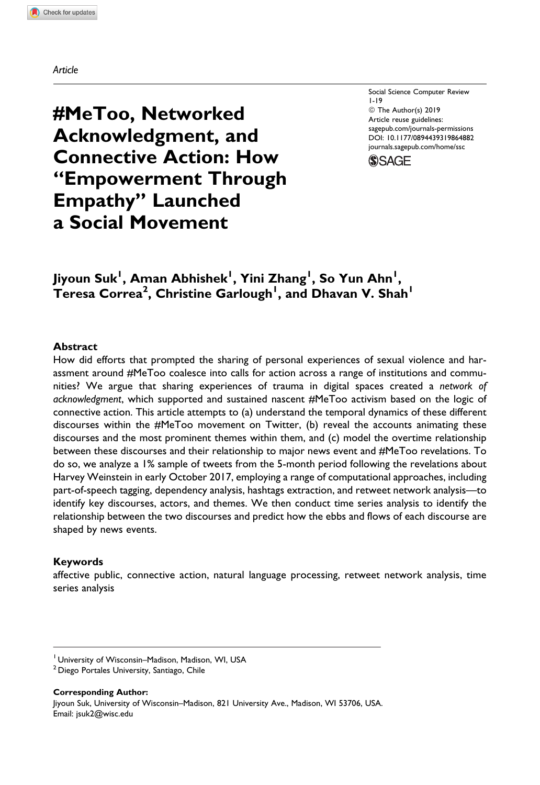Article

#MeToo, Networked Acknowledgment, and Connective Action: How "Empowerment Through Empathy" Launched a Social Movement

Social Science Computer Review 1-19 © The Author(s) 2019 Article reuse guidelines: [sagepub.com/journals-permissions](https://sagepub.com/journals-permissions) [DOI: 10.1177/0894439319864882](https://doi.org/10.1177/0894439319864882) [journals.sagepub.com/home/ssc](http://journals.sagepub.com/home/ssc)



Jiyoun Suk<sup>i</sup>, Aman Abhishek<sup>i</sup>, Yini Zhang<sup>i</sup>, So Yun Ahn<sup>i</sup>, Teresa Correa<sup>2</sup>, Christine Garlough<sup>1</sup>, and Dhavan V. Shah<sup>1</sup>

#### Abstract

How did efforts that prompted the sharing of personal experiences of sexual violence and harassment around #MeToo coalesce into calls for action across a range of institutions and communities? We argue that sharing experiences of trauma in digital spaces created a network of acknowledgment, which supported and sustained nascent #MeToo activism based on the logic of connective action. This article attempts to (a) understand the temporal dynamics of these different discourses within the #MeToo movement on Twitter, (b) reveal the accounts animating these discourses and the most prominent themes within them, and (c) model the overtime relationship between these discourses and their relationship to major news event and #MeToo revelations. To do so, we analyze a 1% sample of tweets from the 5-month period following the revelations about Harvey Weinstein in early October 2017, employing a range of computational approaches, including part-of-speech tagging, dependency analysis, hashtags extraction, and retweet network analysis—to identify key discourses, actors, and themes. We then conduct time series analysis to identify the relationship between the two discourses and predict how the ebbs and flows of each discourse are shaped by news events.

#### Keywords

affective public, connective action, natural language processing, retweet network analysis, time series analysis

Corresponding Author:

Jiyoun Suk, University of Wisconsin–Madison, 821 University Ave., Madison, WI 53706, USA. Email: [jsuk2@wisc.edu](mailto:jsuk2@wisc.edu)

<sup>&</sup>lt;sup>1</sup> University of Wisconsin–Madison, Madison, WI, USA

<sup>&</sup>lt;sup>2</sup> Diego Portales University, Santiago, Chile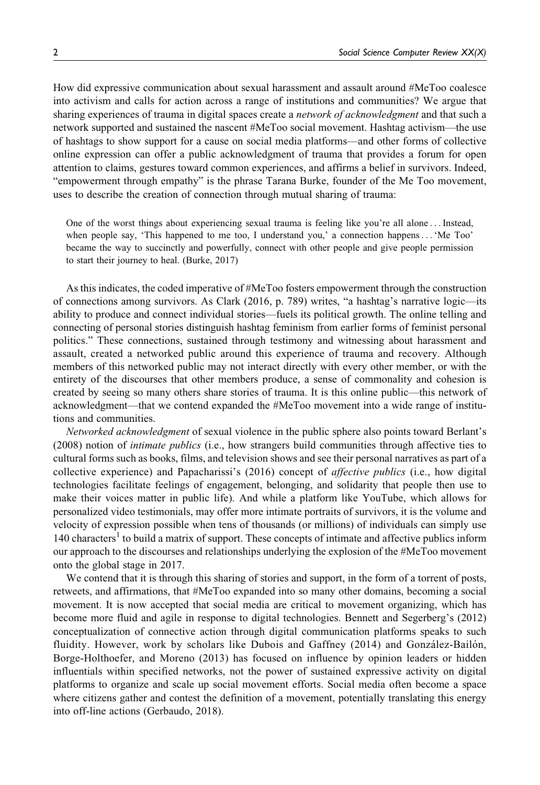How did expressive communication about sexual harassment and assault around #MeToo coalesce into activism and calls for action across a range of institutions and communities? We argue that sharing experiences of trauma in digital spaces create a *network of acknowledgment* and that such a network supported and sustained the nascent #MeToo social movement. Hashtag activism—the use of hashtags to show support for a cause on social media platforms—and other forms of collective online expression can offer a public acknowledgment of trauma that provides a forum for open attention to claims, gestures toward common experiences, and affirms a belief in survivors. Indeed, "empowerment through empathy" is the phrase Tarana Burke, founder of the Me Too movement, uses to describe the creation of connection through mutual sharing of trauma:

One of the worst things about experiencing sexual trauma is feeling like you're all alone ...Instead, when people say, 'This happened to me too, I understand you,' a connection happens...'Me Too' became the way to succinctly and powerfully, connect with other people and give people permission to start their journey to heal. (Burke, 2017)

As this indicates, the coded imperative of #MeToo fosters empowerment through the construction of connections among survivors. As Clark (2016, p. 789) writes, "a hashtag's narrative logic—its ability to produce and connect individual stories—fuels its political growth. The online telling and connecting of personal stories distinguish hashtag feminism from earlier forms of feminist personal politics." These connections, sustained through testimony and witnessing about harassment and assault, created a networked public around this experience of trauma and recovery. Although members of this networked public may not interact directly with every other member, or with the entirety of the discourses that other members produce, a sense of commonality and cohesion is created by seeing so many others share stories of trauma. It is this online public—this network of acknowledgment—that we contend expanded the #MeToo movement into a wide range of institutions and communities.

Networked acknowledgment of sexual violence in the public sphere also points toward Berlant's (2008) notion of intimate publics (i.e., how strangers build communities through affective ties to cultural forms such as books, films, and television shows and see their personal narratives as part of a collective experience) and Papacharissi's (2016) concept of affective publics (i.e., how digital technologies facilitate feelings of engagement, belonging, and solidarity that people then use to make their voices matter in public life). And while a platform like YouTube, which allows for personalized video testimonials, may offer more intimate portraits of survivors, it is the volume and velocity of expression possible when tens of thousands (or millions) of individuals can simply use 140 characters<sup>1</sup> to build a matrix of support. These concepts of intimate and affective publics inform our approach to the discourses and relationships underlying the explosion of the #MeToo movement onto the global stage in 2017.

We contend that it is through this sharing of stories and support, in the form of a torrent of posts, retweets, and affirmations, that #MeToo expanded into so many other domains, becoming a social movement. It is now accepted that social media are critical to movement organizing, which has become more fluid and agile in response to digital technologies. Bennett and Segerberg's (2012) conceptualization of connective action through digital communication platforms speaks to such fluidity. However, work by scholars like Dubois and Gaffney (2014) and González-Bailón, Borge-Holthoefer, and Moreno (2013) has focused on influence by opinion leaders or hidden influentials within specified networks, not the power of sustained expressive activity on digital platforms to organize and scale up social movement efforts. Social media often become a space where citizens gather and contest the definition of a movement, potentially translating this energy into off-line actions (Gerbaudo, 2018).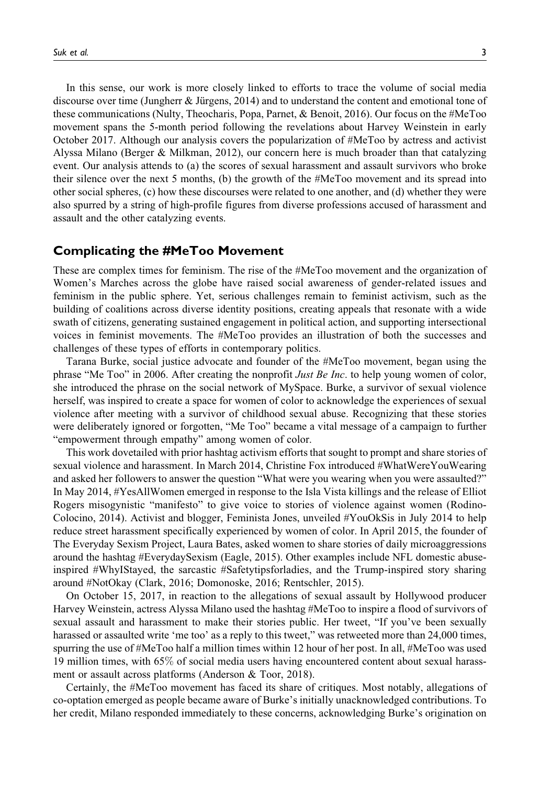In this sense, our work is more closely linked to efforts to trace the volume of social media discourse over time (Jungherr  $&$  Jürgens, 2014) and to understand the content and emotional tone of these communications (Nulty, Theocharis, Popa, Parnet, & Benoit, 2016). Our focus on the #MeToo movement spans the 5-month period following the revelations about Harvey Weinstein in early October 2017. Although our analysis covers the popularization of #MeToo by actress and activist Alyssa Milano (Berger & Milkman, 2012), our concern here is much broader than that catalyzing event. Our analysis attends to (a) the scores of sexual harassment and assault survivors who broke their silence over the next 5 months, (b) the growth of the #MeToo movement and its spread into other social spheres, (c) how these discourses were related to one another, and (d) whether they were also spurred by a string of high-profile figures from diverse professions accused of harassment and assault and the other catalyzing events.

### Complicating the #MeToo Movement

These are complex times for feminism. The rise of the #MeToo movement and the organization of Women's Marches across the globe have raised social awareness of gender-related issues and feminism in the public sphere. Yet, serious challenges remain to feminist activism, such as the building of coalitions across diverse identity positions, creating appeals that resonate with a wide swath of citizens, generating sustained engagement in political action, and supporting intersectional voices in feminist movements. The #MeToo provides an illustration of both the successes and challenges of these types of efforts in contemporary politics.

Tarana Burke, social justice advocate and founder of the #MeToo movement, began using the phrase "Me Too" in 2006. After creating the nonprofit Just Be Inc. to help young women of color, she introduced the phrase on the social network of MySpace. Burke, a survivor of sexual violence herself, was inspired to create a space for women of color to acknowledge the experiences of sexual violence after meeting with a survivor of childhood sexual abuse. Recognizing that these stories were deliberately ignored or forgotten, "Me Too" became a vital message of a campaign to further "empowerment through empathy" among women of color.

This work dovetailed with prior hashtag activism efforts that sought to prompt and share stories of sexual violence and harassment. In March 2014, Christine Fox introduced #WhatWereYouWearing and asked her followers to answer the question "What were you wearing when you were assaulted?" In May 2014, #YesAllWomen emerged in response to the Isla Vista killings and the release of Elliot Rogers misogynistic "manifesto" to give voice to stories of violence against women (Rodino-Colocino, 2014). Activist and blogger, Feminista Jones, unveiled #YouOkSis in July 2014 to help reduce street harassment specifically experienced by women of color. In April 2015, the founder of The Everyday Sexism Project, Laura Bates, asked women to share stories of daily microaggressions around the hashtag #EverydaySexism (Eagle, 2015). Other examples include NFL domestic abuseinspired #WhyIStayed, the sarcastic #Safetytipsforladies, and the Trump-inspired story sharing around #NotOkay (Clark, 2016; Domonoske, 2016; Rentschler, 2015).

On October 15, 2017, in reaction to the allegations of sexual assault by Hollywood producer Harvey Weinstein, actress Alyssa Milano used the hashtag #MeToo to inspire a flood of survivors of sexual assault and harassment to make their stories public. Her tweet, "If you've been sexually harassed or assaulted write 'me too' as a reply to this tweet," was retweeted more than 24,000 times, spurring the use of #MeToo half a million times within 12 hour of her post. In all, #MeToo was used 19 million times, with 65% of social media users having encountered content about sexual harassment or assault across platforms (Anderson & Toor, 2018).

Certainly, the #MeToo movement has faced its share of critiques. Most notably, allegations of co-optation emerged as people became aware of Burke's initially unacknowledged contributions. To her credit, Milano responded immediately to these concerns, acknowledging Burke's origination on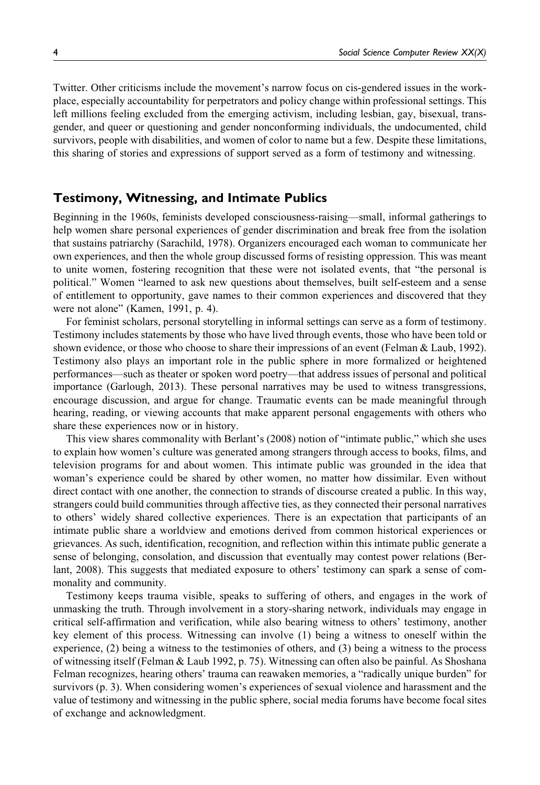Twitter. Other criticisms include the movement's narrow focus on cis-gendered issues in the workplace, especially accountability for perpetrators and policy change within professional settings. This left millions feeling excluded from the emerging activism, including lesbian, gay, bisexual, transgender, and queer or questioning and gender nonconforming individuals, the undocumented, child survivors, people with disabilities, and women of color to name but a few. Despite these limitations, this sharing of stories and expressions of support served as a form of testimony and witnessing.

# Testimony, Witnessing, and Intimate Publics

Beginning in the 1960s, feminists developed consciousness-raising—small, informal gatherings to help women share personal experiences of gender discrimination and break free from the isolation that sustains patriarchy (Sarachild, 1978). Organizers encouraged each woman to communicate her own experiences, and then the whole group discussed forms of resisting oppression. This was meant to unite women, fostering recognition that these were not isolated events, that "the personal is political." Women "learned to ask new questions about themselves, built self-esteem and a sense of entitlement to opportunity, gave names to their common experiences and discovered that they were not alone" (Kamen, 1991, p. 4).

For feminist scholars, personal storytelling in informal settings can serve as a form of testimony. Testimony includes statements by those who have lived through events, those who have been told or shown evidence, or those who choose to share their impressions of an event (Felman & Laub, 1992). Testimony also plays an important role in the public sphere in more formalized or heightened performances—such as theater or spoken word poetry—that address issues of personal and political importance (Garlough, 2013). These personal narratives may be used to witness transgressions, encourage discussion, and argue for change. Traumatic events can be made meaningful through hearing, reading, or viewing accounts that make apparent personal engagements with others who share these experiences now or in history.

This view shares commonality with Berlant's (2008) notion of "intimate public," which she uses to explain how women's culture was generated among strangers through access to books, films, and television programs for and about women. This intimate public was grounded in the idea that woman's experience could be shared by other women, no matter how dissimilar. Even without direct contact with one another, the connection to strands of discourse created a public. In this way, strangers could build communities through affective ties, as they connected their personal narratives to others' widely shared collective experiences. There is an expectation that participants of an intimate public share a worldview and emotions derived from common historical experiences or grievances. As such, identification, recognition, and reflection within this intimate public generate a sense of belonging, consolation, and discussion that eventually may contest power relations (Berlant, 2008). This suggests that mediated exposure to others' testimony can spark a sense of commonality and community.

Testimony keeps trauma visible, speaks to suffering of others, and engages in the work of unmasking the truth. Through involvement in a story-sharing network, individuals may engage in critical self-affirmation and verification, while also bearing witness to others' testimony, another key element of this process. Witnessing can involve (1) being a witness to oneself within the experience, (2) being a witness to the testimonies of others, and (3) being a witness to the process of witnessing itself (Felman & Laub 1992, p. 75). Witnessing can often also be painful. As Shoshana Felman recognizes, hearing others' trauma can reawaken memories, a "radically unique burden" for survivors (p. 3). When considering women's experiences of sexual violence and harassment and the value of testimony and witnessing in the public sphere, social media forums have become focal sites of exchange and acknowledgment.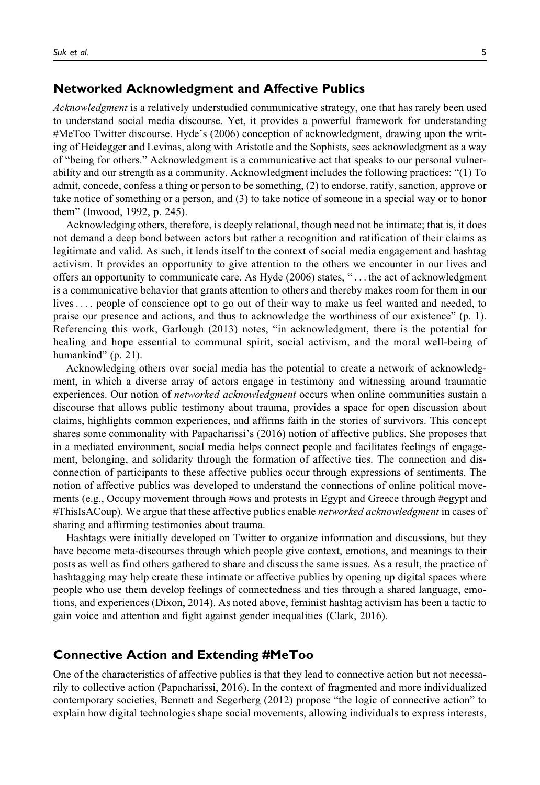### Networked Acknowledgment and Affective Publics

Acknowledgment is a relatively understudied communicative strategy, one that has rarely been used to understand social media discourse. Yet, it provides a powerful framework for understanding #MeToo Twitter discourse. Hyde's (2006) conception of acknowledgment, drawing upon the writing of Heidegger and Levinas, along with Aristotle and the Sophists, sees acknowledgment as a way of "being for others." Acknowledgment is a communicative act that speaks to our personal vulnerability and our strength as a community. Acknowledgment includes the following practices: "(1) To admit, concede, confess a thing or person to be something, (2) to endorse, ratify, sanction, approve or take notice of something or a person, and (3) to take notice of someone in a special way or to honor them" (Inwood, 1992, p. 245).

Acknowledging others, therefore, is deeply relational, though need not be intimate; that is, it does not demand a deep bond between actors but rather a recognition and ratification of their claims as legitimate and valid. As such, it lends itself to the context of social media engagement and hashtag activism. It provides an opportunity to give attention to the others we encounter in our lives and offers an opportunity to communicate care. As Hyde (2006) states, " ... the act of acknowledgment is a communicative behavior that grants attention to others and thereby makes room for them in our lives... . people of conscience opt to go out of their way to make us feel wanted and needed, to praise our presence and actions, and thus to acknowledge the worthiness of our existence" (p. 1). Referencing this work, Garlough (2013) notes, "in acknowledgment, there is the potential for healing and hope essential to communal spirit, social activism, and the moral well-being of humankind" (p. 21).

Acknowledging others over social media has the potential to create a network of acknowledgment, in which a diverse array of actors engage in testimony and witnessing around traumatic experiences. Our notion of *networked acknowledgment* occurs when online communities sustain a discourse that allows public testimony about trauma, provides a space for open discussion about claims, highlights common experiences, and affirms faith in the stories of survivors. This concept shares some commonality with Papacharissi's (2016) notion of affective publics. She proposes that in a mediated environment, social media helps connect people and facilitates feelings of engagement, belonging, and solidarity through the formation of affective ties. The connection and disconnection of participants to these affective publics occur through expressions of sentiments. The notion of affective publics was developed to understand the connections of online political movements (e.g., Occupy movement through #ows and protests in Egypt and Greece through #egypt and #ThisIsACoup). We argue that these affective publics enable *networked acknowledgment* in cases of sharing and affirming testimonies about trauma.

Hashtags were initially developed on Twitter to organize information and discussions, but they have become meta-discourses through which people give context, emotions, and meanings to their posts as well as find others gathered to share and discuss the same issues. As a result, the practice of hashtagging may help create these intimate or affective publics by opening up digital spaces where people who use them develop feelings of connectedness and ties through a shared language, emotions, and experiences (Dixon, 2014). As noted above, feminist hashtag activism has been a tactic to gain voice and attention and fight against gender inequalities (Clark, 2016).

## Connective Action and Extending #MeToo

One of the characteristics of affective publics is that they lead to connective action but not necessarily to collective action (Papacharissi, 2016). In the context of fragmented and more individualized contemporary societies, Bennett and Segerberg (2012) propose "the logic of connective action" to explain how digital technologies shape social movements, allowing individuals to express interests,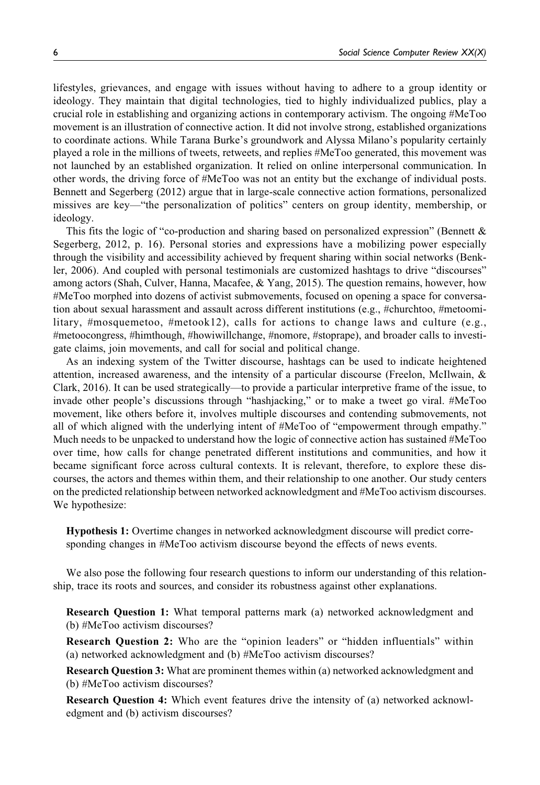lifestyles, grievances, and engage with issues without having to adhere to a group identity or ideology. They maintain that digital technologies, tied to highly individualized publics, play a crucial role in establishing and organizing actions in contemporary activism. The ongoing #MeToo movement is an illustration of connective action. It did not involve strong, established organizations to coordinate actions. While Tarana Burke's groundwork and Alyssa Milano's popularity certainly played a role in the millions of tweets, retweets, and replies #MeToo generated, this movement was not launched by an established organization. It relied on online interpersonal communication. In other words, the driving force of #MeToo was not an entity but the exchange of individual posts. Bennett and Segerberg (2012) argue that in large-scale connective action formations, personalized missives are key—"the personalization of politics" centers on group identity, membership, or ideology.

This fits the logic of "co-production and sharing based on personalized expression" (Bennett  $\&$ Segerberg, 2012, p. 16). Personal stories and expressions have a mobilizing power especially through the visibility and accessibility achieved by frequent sharing within social networks (Benkler, 2006). And coupled with personal testimonials are customized hashtags to drive "discourses" among actors (Shah, Culver, Hanna, Macafee, & Yang, 2015). The question remains, however, how #MeToo morphed into dozens of activist submovements, focused on opening a space for conversation about sexual harassment and assault across different institutions (e.g., #churchtoo, #metoomilitary, #mosquemetoo, #metook12), calls for actions to change laws and culture (e.g., #metoocongress, #himthough, #howiwillchange, #nomore, #stoprape), and broader calls to investigate claims, join movements, and call for social and political change.

As an indexing system of the Twitter discourse, hashtags can be used to indicate heightened attention, increased awareness, and the intensity of a particular discourse (Freelon, McIlwain, & Clark, 2016). It can be used strategically—to provide a particular interpretive frame of the issue, to invade other people's discussions through "hashjacking," or to make a tweet go viral. #MeToo movement, like others before it, involves multiple discourses and contending submovements, not all of which aligned with the underlying intent of #MeToo of "empowerment through empathy." Much needs to be unpacked to understand how the logic of connective action has sustained #MeToo over time, how calls for change penetrated different institutions and communities, and how it became significant force across cultural contexts. It is relevant, therefore, to explore these discourses, the actors and themes within them, and their relationship to one another. Our study centers on the predicted relationship between networked acknowledgment and #MeToo activism discourses. We hypothesize:

Hypothesis 1: Overtime changes in networked acknowledgment discourse will predict corresponding changes in #MeToo activism discourse beyond the effects of news events.

We also pose the following four research questions to inform our understanding of this relationship, trace its roots and sources, and consider its robustness against other explanations.

Research Question 1: What temporal patterns mark (a) networked acknowledgment and (b) #MeToo activism discourses?

Research Question 2: Who are the "opinion leaders" or "hidden influentials" within (a) networked acknowledgment and (b) #MeToo activism discourses?

Research Question 3: What are prominent themes within (a) networked acknowledgment and (b) #MeToo activism discourses?

**Research Question 4:** Which event features drive the intensity of (a) networked acknowledgment and (b) activism discourses?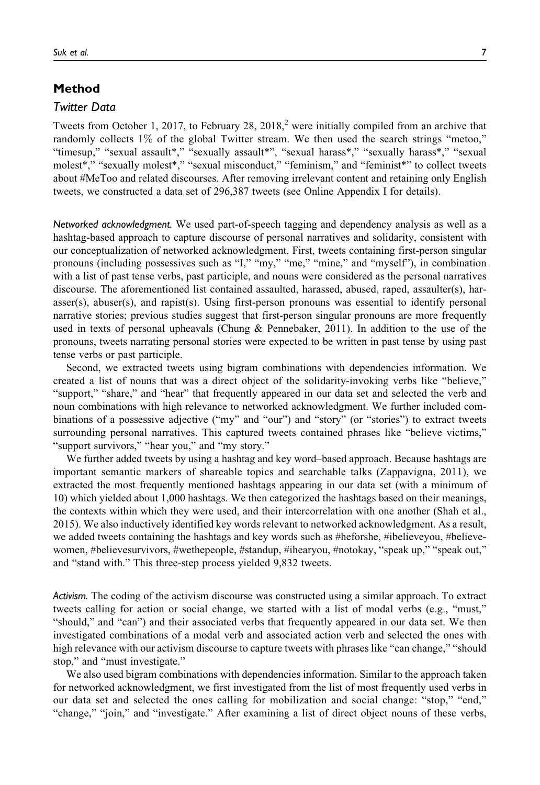# Method

# Twitter Data

Tweets from October 1, 2017, to February 28, 2018,<sup>2</sup> were initially compiled from an archive that randomly collects 1% of the global Twitter stream. We then used the search strings "metoo," "timesup," "sexual assault\*," "sexually assault\*", "sexual harass\*," "sexually harass\*," "sexual molest\*," "sexually molest\*," "sexual misconduct," "feminism," and "feminist\*" to collect tweets about #MeToo and related discourses. After removing irrelevant content and retaining only English tweets, we constructed a data set of 296,387 tweets (see Online Appendix I for details).

Networked acknowledgment. We used part-of-speech tagging and dependency analysis as well as a hashtag-based approach to capture discourse of personal narratives and solidarity, consistent with our conceptualization of networked acknowledgment. First, tweets containing first-person singular pronouns (including possessives such as "I," "my," "me," "mine," and "myself"), in combination with a list of past tense verbs, past participle, and nouns were considered as the personal narratives discourse. The aforementioned list contained assaulted, harassed, abused, raped, assaulter(s), harasser(s), abuser(s), and rapist(s). Using first-person pronouns was essential to identify personal narrative stories; previous studies suggest that first-person singular pronouns are more frequently used in texts of personal upheavals (Chung & Pennebaker, 2011). In addition to the use of the pronouns, tweets narrating personal stories were expected to be written in past tense by using past tense verbs or past participle.

Second, we extracted tweets using bigram combinations with dependencies information. We created a list of nouns that was a direct object of the solidarity-invoking verbs like "believe," "support," "share," and "hear" that frequently appeared in our data set and selected the verb and noun combinations with high relevance to networked acknowledgment. We further included combinations of a possessive adjective ("my" and "our") and "story" (or "stories") to extract tweets surrounding personal narratives. This captured tweets contained phrases like "believe victims," "support survivors," "hear you," and "my story."

We further added tweets by using a hashtag and key word–based approach. Because hashtags are important semantic markers of shareable topics and searchable talks (Zappavigna, 2011), we extracted the most frequently mentioned hashtags appearing in our data set (with a minimum of 10) which yielded about 1,000 hashtags. We then categorized the hashtags based on their meanings, the contexts within which they were used, and their intercorrelation with one another (Shah et al., 2015). We also inductively identified key words relevant to networked acknowledgment. As a result, we added tweets containing the hashtags and key words such as #heforshe, #ibelieveyou, #believewomen, #believesurvivors, #wethepeople, #standup, #ihearyou, #notokay, "speak up," "speak out," and "stand with." This three-step process yielded 9,832 tweets.

Activism. The coding of the activism discourse was constructed using a similar approach. To extract tweets calling for action or social change, we started with a list of modal verbs (e.g., "must," "should," and "can") and their associated verbs that frequently appeared in our data set. We then investigated combinations of a modal verb and associated action verb and selected the ones with high relevance with our activism discourse to capture tweets with phrases like "can change," "should stop," and "must investigate."

We also used bigram combinations with dependencies information. Similar to the approach taken for networked acknowledgment, we first investigated from the list of most frequently used verbs in our data set and selected the ones calling for mobilization and social change: "stop," "end," "change," "join," and "investigate." After examining a list of direct object nouns of these verbs,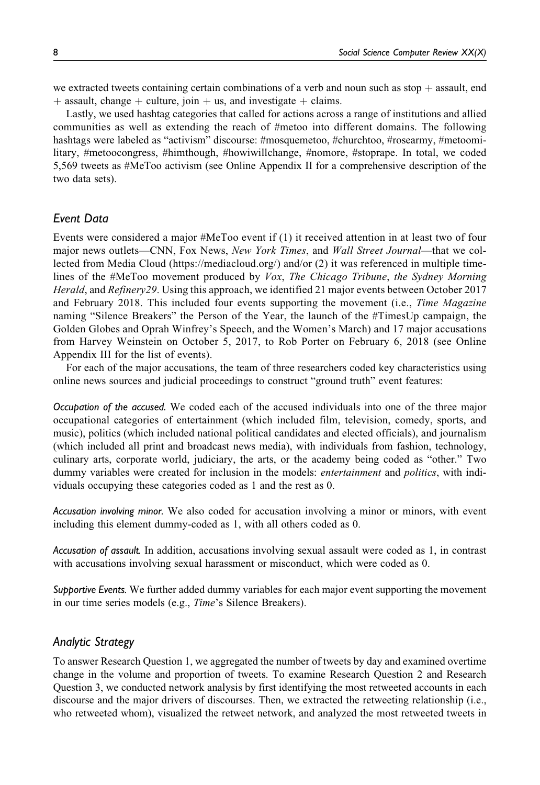we extracted tweets containing certain combinations of a verb and noun such as stop  $+$  assault, end  $\frac{1}{1}$  assault, change  $+$  culture, join  $+$  us, and investigate  $+$  claims.

Lastly, we used hashtag categories that called for actions across a range of institutions and allied communities as well as extending the reach of #metoo into different domains. The following hashtags were labeled as "activism" discourse: #mosquemetoo, #churchtoo, #rosearmy, #metoomilitary, #metoocongress, #himthough, #howiwillchange, #nomore, #stoprape. In total, we coded 5,569 tweets as #MeToo activism (see Online Appendix II for a comprehensive description of the two data sets).

# Event Data

Events were considered a major #MeToo event if (1) it received attention in at least two of four major news outlets—CNN, Fox News, New York Times, and Wall Street Journal—that we collected from Media Cloud (https://mediacloud.org/) and/or (2) it was referenced in multiple timelines of the #MeToo movement produced by Vox, The Chicago Tribune, the Sydney Morning Herald, and Refinery29. Using this approach, we identified 21 major events between October 2017 and February 2018. This included four events supporting the movement (i.e., Time Magazine naming "Silence Breakers" the Person of the Year, the launch of the #TimesUp campaign, the Golden Globes and Oprah Winfrey's Speech, and the Women's March) and 17 major accusations from Harvey Weinstein on October 5, 2017, to Rob Porter on February 6, 2018 (see Online Appendix III for the list of events).

For each of the major accusations, the team of three researchers coded key characteristics using online news sources and judicial proceedings to construct "ground truth" event features:

Occupation of the accused. We coded each of the accused individuals into one of the three major occupational categories of entertainment (which included film, television, comedy, sports, and music), politics (which included national political candidates and elected officials), and journalism (which included all print and broadcast news media), with individuals from fashion, technology, culinary arts, corporate world, judiciary, the arts, or the academy being coded as "other." Two dummy variables were created for inclusion in the models: *entertainment* and *politics*, with individuals occupying these categories coded as 1 and the rest as 0.

Accusation involving minor. We also coded for accusation involving a minor or minors, with event including this element dummy-coded as 1, with all others coded as 0.

Accusation of assault. In addition, accusations involving sexual assault were coded as 1, in contrast with accusations involving sexual harassment or misconduct, which were coded as 0.

Supportive Events. We further added dummy variables for each major event supporting the movement in our time series models (e.g., Time's Silence Breakers).

### Analytic Strategy

To answer Research Question 1, we aggregated the number of tweets by day and examined overtime change in the volume and proportion of tweets. To examine Research Question 2 and Research Question 3, we conducted network analysis by first identifying the most retweeted accounts in each discourse and the major drivers of discourses. Then, we extracted the retweeting relationship (i.e., who retweeted whom), visualized the retweet network, and analyzed the most retweeted tweets in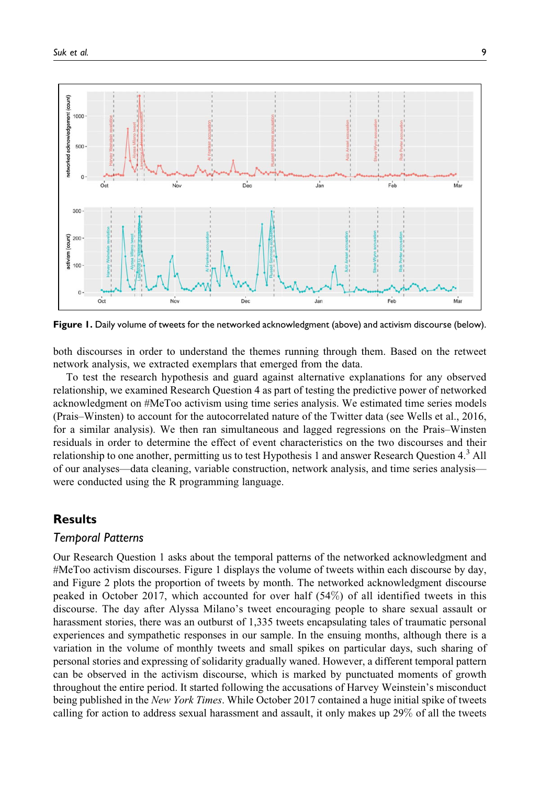

Figure 1. Daily volume of tweets for the networked acknowledgment (above) and activism discourse (below).

both discourses in order to understand the themes running through them. Based on the retweet network analysis, we extracted exemplars that emerged from the data.

To test the research hypothesis and guard against alternative explanations for any observed relationship, we examined Research Question 4 as part of testing the predictive power of networked acknowledgment on #MeToo activism using time series analysis. We estimated time series models (Prais–Winsten) to account for the autocorrelated nature of the Twitter data (see Wells et al., 2016, for a similar analysis). We then ran simultaneous and lagged regressions on the Prais–Winsten residuals in order to determine the effect of event characteristics on the two discourses and their relationship to one another, permitting us to test Hypothesis 1 and answer Research Question 4.<sup>3</sup> All of our analyses—data cleaning, variable construction, network analysis, and time series analysis were conducted using the R programming language.

# **Results**

## Temporal Patterns

Our Research Question 1 asks about the temporal patterns of the networked acknowledgment and #MeToo activism discourses. Figure 1 displays the volume of tweets within each discourse by day, and Figure 2 plots the proportion of tweets by month. The networked acknowledgment discourse peaked in October 2017, which accounted for over half (54%) of all identified tweets in this discourse. The day after Alyssa Milano's tweet encouraging people to share sexual assault or harassment stories, there was an outburst of 1,335 tweets encapsulating tales of traumatic personal experiences and sympathetic responses in our sample. In the ensuing months, although there is a variation in the volume of monthly tweets and small spikes on particular days, such sharing of personal stories and expressing of solidarity gradually waned. However, a different temporal pattern can be observed in the activism discourse, which is marked by punctuated moments of growth throughout the entire period. It started following the accusations of Harvey Weinstein's misconduct being published in the New York Times. While October 2017 contained a huge initial spike of tweets calling for action to address sexual harassment and assault, it only makes up 29% of all the tweets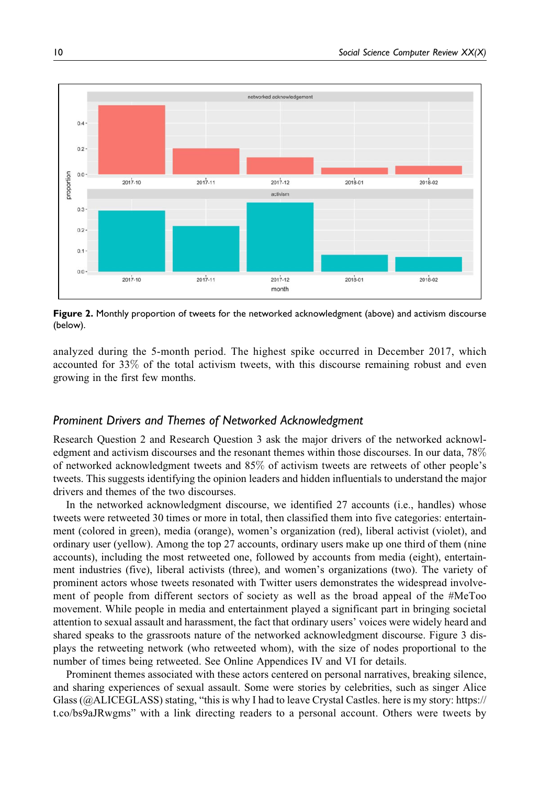

Figure 2. Monthly proportion of tweets for the networked acknowledgment (above) and activism discourse (below).

analyzed during the 5-month period. The highest spike occurred in December 2017, which accounted for 33% of the total activism tweets, with this discourse remaining robust and even growing in the first few months.

### Prominent Drivers and Themes of Networked Acknowledgment

Research Question 2 and Research Question 3 ask the major drivers of the networked acknowledgment and activism discourses and the resonant themes within those discourses. In our data, 78% of networked acknowledgment tweets and 85% of activism tweets are retweets of other people's tweets. This suggests identifying the opinion leaders and hidden influentials to understand the major drivers and themes of the two discourses.

In the networked acknowledgment discourse, we identified 27 accounts (i.e., handles) whose tweets were retweeted 30 times or more in total, then classified them into five categories: entertainment (colored in green), media (orange), women's organization (red), liberal activist (violet), and ordinary user (yellow). Among the top 27 accounts, ordinary users make up one third of them (nine accounts), including the most retweeted one, followed by accounts from media (eight), entertainment industries (five), liberal activists (three), and women's organizations (two). The variety of prominent actors whose tweets resonated with Twitter users demonstrates the widespread involvement of people from different sectors of society as well as the broad appeal of the #MeToo movement. While people in media and entertainment played a significant part in bringing societal attention to sexual assault and harassment, the fact that ordinary users' voices were widely heard and shared speaks to the grassroots nature of the networked acknowledgment discourse. Figure 3 displays the retweeting network (who retweeted whom), with the size of nodes proportional to the number of times being retweeted. See Online Appendices IV and VI for details.

Prominent themes associated with these actors centered on personal narratives, breaking silence, and sharing experiences of sexual assault. Some were stories by celebrities, such as singer Alice Glass (@ALICEGLASS) stating, "this is why I had to leave Crystal Castles. here is my story: https:// t.co/bs9aJRwgms" with a link directing readers to a personal account. Others were tweets by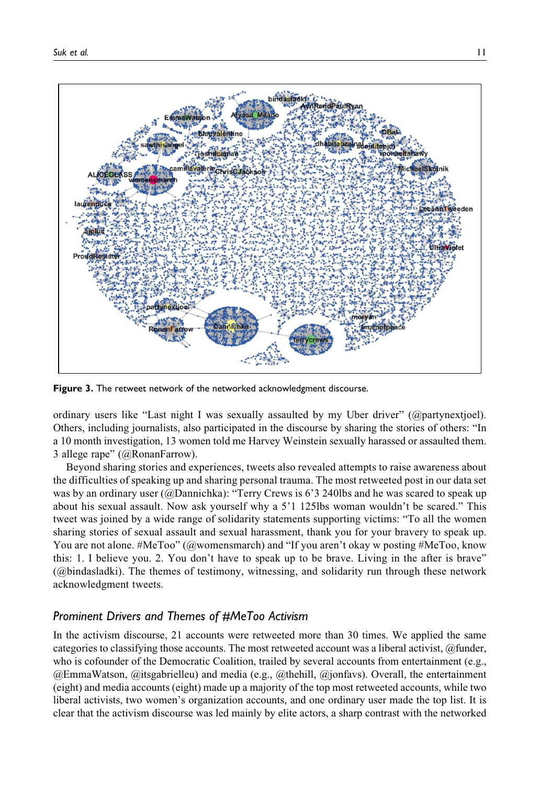

Figure 3. The retweet network of the networked acknowledgment discourse.

ordinary users like "Last night I was sexually assaulted by my Uber driver" (@partynextjoel). Others, including journalists, also participated in the discourse by sharing the stories of others: "In a 10 month investigation, 13 women told me Harvey Weinstein sexually harassed or assaulted them. 3 allege rape" (@RonanFarrow).

Beyond sharing stories and experiences, tweets also revealed attempts to raise awareness about the difficulties of speaking up and sharing personal trauma. The most retweeted post in our data set was by an ordinary user (@Dannichka): "Terry Crews is 6'3 240lbs and he was scared to speak up about his sexual assault. Now ask yourself why a 5'1 125lbs woman wouldn't be scared." This tweet was joined by a wide range of solidarity statements supporting victims: "To all the women sharing stories of sexual assault and sexual harassment, thank you for your bravery to speak up. You are not alone. #MeToo" (@womensmarch) and "If you aren't okay w posting #MeToo, know this: 1. I believe you. 2. You don't have to speak up to be brave. Living in the after is brave" (@bindasladki). The themes of testimony, witnessing, and solidarity run through these network acknowledgment tweets.

# Prominent Drivers and Themes of #MeToo Activism

In the activism discourse, 21 accounts were retweeted more than 30 times. We applied the same categories to classifying those accounts. The most retweeted account was a liberal activist, @funder, who is cofounder of the Democratic Coalition, trailed by several accounts from entertainment (e.g., @EmmaWatson, @itsgabrielleu) and media (e.g., @thehill, @jonfavs). Overall, the entertainment (eight) and media accounts (eight) made up a majority of the top most retweeted accounts, while two liberal activists, two women's organization accounts, and one ordinary user made the top list. It is clear that the activism discourse was led mainly by elite actors, a sharp contrast with the networked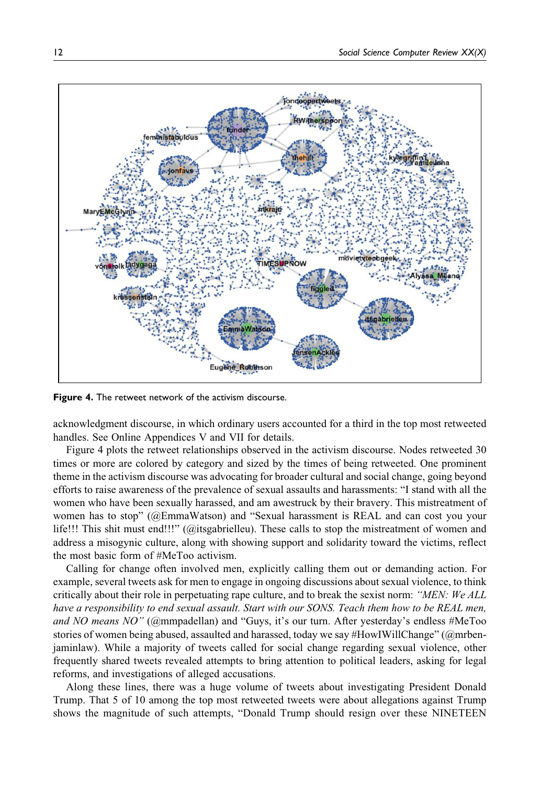

Figure 4. The retweet network of the activism discourse.

acknowledgment discourse, in which ordinary users accounted for a third in the top most retweeted handles. See Online Appendices V and VII for details.

Figure 4 plots the retweet relationships observed in the activism discourse. Nodes retweeted 30 times or more are colored by category and sized by the times of being retweeted. One prominent theme in the activism discourse was advocating for broader cultural and social change, going beyond efforts to raise awareness of the prevalence of sexual assaults and harassments: "I stand with all the women who have been sexually harassed, and am awestruck by their bravery. This mistreatment of women has to stop" (@EmmaWatson) and "Sexual harassment is REAL and can cost you your life!!! This shit must end!!!" (@itsgabrielleu). These calls to stop the mistreatment of women and address a misogynic culture, along with showing support and solidarity toward the victims, reflect the most basic form of #MeToo activism.

Calling for change often involved men, explicitly calling them out or demanding action. For example, several tweets ask for men to engage in ongoing discussions about sexual violence, to think critically about their role in perpetuating rape culture, and to break the sexist norm: "MEN: We ALL have a responsibility to end sexual assault. Start with our SONS. Teach them how to be REAL men, and NO means NO" (@mmpadellan) and "Guys, it's our turn. After yesterday's endless #MeToo stories of women being abused, assaulted and harassed, today we say #HowIWillChange" (@mrbenjaminlaw). While a majority of tweets called for social change regarding sexual violence, other frequently shared tweets revealed attempts to bring attention to political leaders, asking for legal reforms, and investigations of alleged accusations.

Along these lines, there was a huge volume of tweets about investigating President Donald Trump. That 5 of 10 among the top most retweeted tweets were about allegations against Trump shows the magnitude of such attempts, "Donald Trump should resign over these NINETEEN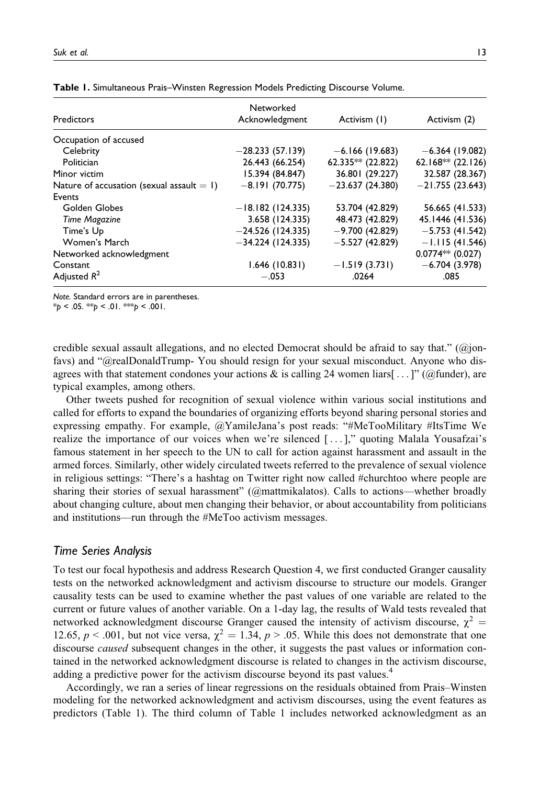| <b>Predictors</b>                            | Networked<br>Acknowledgment | Activism (1)      | Activism (2)                  |
|----------------------------------------------|-----------------------------|-------------------|-------------------------------|
| Occupation of accused                        |                             |                   |                               |
| Celebrity                                    | $-28.233(57.139)$           | $-6.166(19.683)$  | $-6.364(19.082)$              |
| Politician                                   | 26.443 (66.254)             | 62.335** (22.822) | 62.168 <sup>**</sup> (22.126) |
| Minor victim                                 | 15.394 (84.847)             | 36.801 (29.227)   | 32.587 (28.367)               |
| Nature of accusation (sexual assault $= 1$ ) | $-8.191(70.775)$            | $-23.637(24.380)$ | $-21.755(23.643)$             |
| Events                                       |                             |                   |                               |
| Golden Globes                                | $-18.182(124.335)$          | 53.704 (42.829)   | 56.665 (41.533)               |
| Time Magazine                                | 3.658 (124.335)             | 48.473 (42.829)   | 45.1446 (41.536)              |
| Time's Up                                    | $-24.526$ (124.335)         | $-9.700(42.829)$  | $-5.753(41.542)$              |
| Women's March                                | $-34.224$ (124.335)         | $-5.527(42.829)$  | $-1.115(41.546)$              |
| Networked acknowledgment                     |                             |                   | $0.0774**$ (0.027)            |
| Constant                                     | 1.646(10.831)               | $-1.519(3.731)$   | $-6.704(3.978)$               |
| Adjusted $R^2$                               | $-.053$                     | .0264             | .085                          |

Table 1. Simultaneous Prais–Winsten Regression Models Predicting Discourse Volume.

Note. Standard errors are in parentheses.

 $*_{p}$  < .05.  $*_{p}$  < .01.  $*_{p}$  < .001.

credible sexual assault allegations, and no elected Democrat should be afraid to say that." (@jonfavs) and "@realDonaldTrump- You should resign for your sexual misconduct. Anyone who disagrees with that statement condones your actions  $\&$  is calling 24 women liars[...]" (@funder), are typical examples, among others.

Other tweets pushed for recognition of sexual violence within various social institutions and called for efforts to expand the boundaries of organizing efforts beyond sharing personal stories and expressing empathy. For example, @YamileJana's post reads: "#MeTooMilitary #ItsTime We realize the importance of our voices when we're silenced [ ...]," quoting Malala Yousafzai's famous statement in her speech to the UN to call for action against harassment and assault in the armed forces. Similarly, other widely circulated tweets referred to the prevalence of sexual violence in religious settings: "There's a hashtag on Twitter right now called #churchtoo where people are sharing their stories of sexual harassment" (@mattmikalatos). Calls to actions—whether broadly about changing culture, about men changing their behavior, or about accountability from politicians and institutions—run through the #MeToo activism messages.

### Time Series Analysis

To test our focal hypothesis and address Research Question 4, we first conducted Granger causality tests on the networked acknowledgment and activism discourse to structure our models. Granger causality tests can be used to examine whether the past values of one variable are related to the current or future values of another variable. On a 1-day lag, the results of Wald tests revealed that networked acknowledgment discourse Granger caused the intensity of activism discourse,  $\chi^2$  = 12.65,  $p < .001$ , but not vice versa,  $\chi^2 = 1.34$ ,  $p > .05$ . While this does not demonstrate that one discourse *caused* subsequent changes in the other, it suggests the past values or information contained in the networked acknowledgment discourse is related to changes in the activism discourse, adding a predictive power for the activism discourse beyond its past values.<sup>4</sup>

Accordingly, we ran a series of linear regressions on the residuals obtained from Prais–Winsten modeling for the networked acknowledgment and activism discourses, using the event features as predictors (Table 1). The third column of Table 1 includes networked acknowledgment as an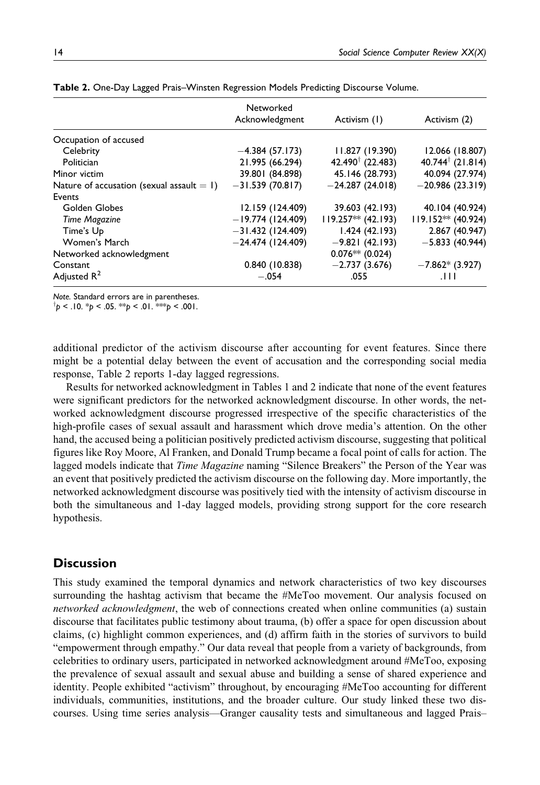|                                              | Networked<br>Acknowledgment | Activism (1)                                    | Activism (2)                |
|----------------------------------------------|-----------------------------|-------------------------------------------------|-----------------------------|
| Occupation of accused                        |                             |                                                 |                             |
| Celebrity                                    | $-4.384(57.173)$            | 11.827 (19.390)                                 | 12.066 (18.807)             |
| Politician                                   | 21.995 (66.294)             | 42.490 <sup><math>\dagger</math></sup> (22.483) | $40.744^{\dagger}$ (21.814) |
| Minor victim                                 | 39.801 (84.898)             | 45.146 (28.793)                                 | 40.094 (27.974)             |
| Nature of accusation (sexual assault $= 1$ ) | $-31.539(70.817)$           | $-24.287(24.018)$                               | $-20.986(23.319)$           |
| Events                                       |                             |                                                 |                             |
| Golden Globes                                | 12.159 (124.409)            | 39.603 (42.193)                                 | 40.104 (40.924)             |
| Time Magazine                                | $-19.774(124.409)$          | $119.257**$ (42.193)                            | 119.152** (40.924)          |
| Time's Up                                    | $-31.432(124.409)$          | 1.424(42.193)                                   | 2.867 (40.947)              |
| Women's March                                | $-24.474$ (124.409)         | $-9.821(42.193)$                                | $-5.833(40.944)$            |
| Networked acknowledgment                     |                             | $0.076**$ (0.024)                               |                             |
| Constant                                     | 0.840(10.838)               | $-2.737(3.676)$                                 | $-7.862*$ (3.927)           |
| Adjusted $R^2$                               | $-.054$                     | .055                                            | .HI                         |

Table 2. One-Day Lagged Prais–Winsten Regression Models Predicting Discourse Volume.

Note. Standard errors are in parentheses.

 $\phi$  < .10. \*p < .05. \*\*p < .01. \*\*\*p < .001.

additional predictor of the activism discourse after accounting for event features. Since there might be a potential delay between the event of accusation and the corresponding social media response, Table 2 reports 1-day lagged regressions.

Results for networked acknowledgment in Tables 1 and 2 indicate that none of the event features were significant predictors for the networked acknowledgment discourse. In other words, the networked acknowledgment discourse progressed irrespective of the specific characteristics of the high-profile cases of sexual assault and harassment which drove media's attention. On the other hand, the accused being a politician positively predicted activism discourse, suggesting that political figures like Roy Moore, Al Franken, and Donald Trump became a focal point of calls for action. The lagged models indicate that Time Magazine naming "Silence Breakers" the Person of the Year was an event that positively predicted the activism discourse on the following day. More importantly, the networked acknowledgment discourse was positively tied with the intensity of activism discourse in both the simultaneous and 1-day lagged models, providing strong support for the core research hypothesis.

## **Discussion**

This study examined the temporal dynamics and network characteristics of two key discourses surrounding the hashtag activism that became the #MeToo movement. Our analysis focused on networked acknowledgment, the web of connections created when online communities (a) sustain discourse that facilitates public testimony about trauma, (b) offer a space for open discussion about claims, (c) highlight common experiences, and (d) affirm faith in the stories of survivors to build "empowerment through empathy." Our data reveal that people from a variety of backgrounds, from celebrities to ordinary users, participated in networked acknowledgment around #MeToo, exposing the prevalence of sexual assault and sexual abuse and building a sense of shared experience and identity. People exhibited "activism" throughout, by encouraging #MeToo accounting for different individuals, communities, institutions, and the broader culture. Our study linked these two discourses. Using time series analysis—Granger causality tests and simultaneous and lagged Prais–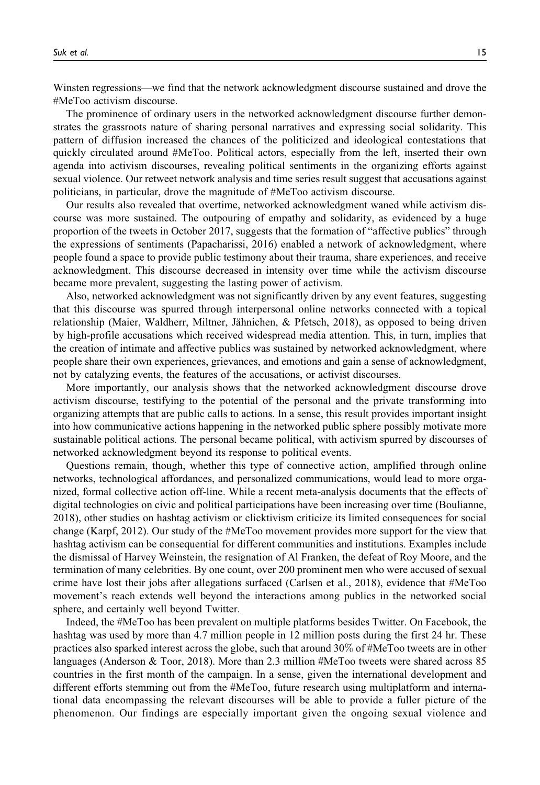Winsten regressions—we find that the network acknowledgment discourse sustained and drove the #MeToo activism discourse.

The prominence of ordinary users in the networked acknowledgment discourse further demonstrates the grassroots nature of sharing personal narratives and expressing social solidarity. This pattern of diffusion increased the chances of the politicized and ideological contestations that quickly circulated around #MeToo. Political actors, especially from the left, inserted their own agenda into activism discourses, revealing political sentiments in the organizing efforts against sexual violence. Our retweet network analysis and time series result suggest that accusations against politicians, in particular, drove the magnitude of #MeToo activism discourse.

Our results also revealed that overtime, networked acknowledgment waned while activism discourse was more sustained. The outpouring of empathy and solidarity, as evidenced by a huge proportion of the tweets in October 2017, suggests that the formation of "affective publics" through the expressions of sentiments (Papacharissi, 2016) enabled a network of acknowledgment, where people found a space to provide public testimony about their trauma, share experiences, and receive acknowledgment. This discourse decreased in intensity over time while the activism discourse became more prevalent, suggesting the lasting power of activism.

Also, networked acknowledgment was not significantly driven by any event features, suggesting that this discourse was spurred through interpersonal online networks connected with a topical relationship (Maier, Waldherr, Miltner, Jähnichen, & Pfetsch, 2018), as opposed to being driven by high-profile accusations which received widespread media attention. This, in turn, implies that the creation of intimate and affective publics was sustained by networked acknowledgment, where people share their own experiences, grievances, and emotions and gain a sense of acknowledgment, not by catalyzing events, the features of the accusations, or activist discourses.

More importantly, our analysis shows that the networked acknowledgment discourse drove activism discourse, testifying to the potential of the personal and the private transforming into organizing attempts that are public calls to actions. In a sense, this result provides important insight into how communicative actions happening in the networked public sphere possibly motivate more sustainable political actions. The personal became political, with activism spurred by discourses of networked acknowledgment beyond its response to political events.

Questions remain, though, whether this type of connective action, amplified through online networks, technological affordances, and personalized communications, would lead to more organized, formal collective action off-line. While a recent meta-analysis documents that the effects of digital technologies on civic and political participations have been increasing over time (Boulianne, 2018), other studies on hashtag activism or clicktivism criticize its limited consequences for social change (Karpf, 2012). Our study of the #MeToo movement provides more support for the view that hashtag activism can be consequential for different communities and institutions. Examples include the dismissal of Harvey Weinstein, the resignation of Al Franken, the defeat of Roy Moore, and the termination of many celebrities. By one count, over 200 prominent men who were accused of sexual crime have lost their jobs after allegations surfaced (Carlsen et al., 2018), evidence that #MeToo movement's reach extends well beyond the interactions among publics in the networked social sphere, and certainly well beyond Twitter.

Indeed, the #MeToo has been prevalent on multiple platforms besides Twitter. On Facebook, the hashtag was used by more than 4.7 million people in 12 million posts during the first 24 hr. These practices also sparked interest across the globe, such that around 30% of #MeToo tweets are in other languages (Anderson & Toor, 2018). More than 2.3 million #MeToo tweets were shared across 85 countries in the first month of the campaign. In a sense, given the international development and different efforts stemming out from the #MeToo, future research using multiplatform and international data encompassing the relevant discourses will be able to provide a fuller picture of the phenomenon. Our findings are especially important given the ongoing sexual violence and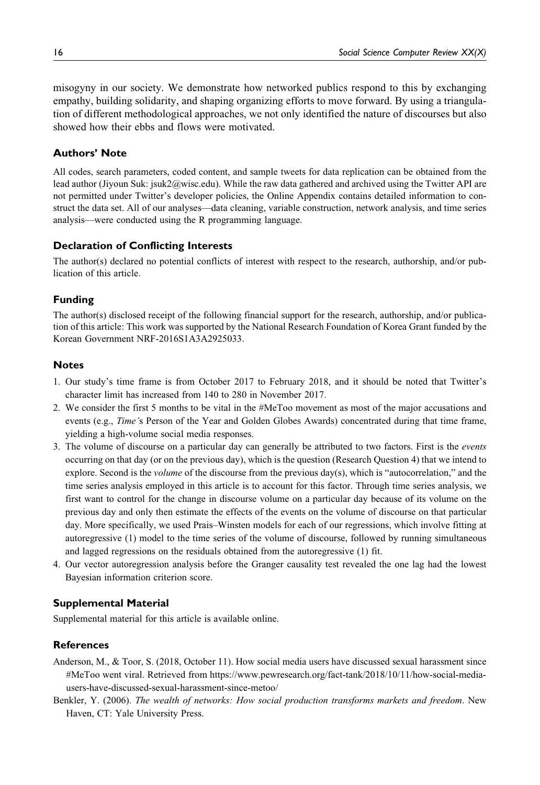misogyny in our society. We demonstrate how networked publics respond to this by exchanging empathy, building solidarity, and shaping organizing efforts to move forward. By using a triangulation of different methodological approaches, we not only identified the nature of discourses but also showed how their ebbs and flows were motivated.

### Authors' Note

All codes, search parameters, coded content, and sample tweets for data replication can be obtained from the lead author (Jiyoun Suk: jsuk2@wisc.edu). While the raw data gathered and archived using the Twitter API are not permitted under Twitter's developer policies, the Online Appendix contains detailed information to construct the data set. All of our analyses—data cleaning, variable construction, network analysis, and time series analysis—were conducted using the R programming language.

#### Declaration of Conflicting Interests

The author(s) declared no potential conflicts of interest with respect to the research, authorship, and/or publication of this article.

#### Funding

The author(s) disclosed receipt of the following financial support for the research, authorship, and/or publication of this article: This work was supported by the National Research Foundation of Korea Grant funded by the Korean Government NRF-2016S1A3A2925033.

### Notes

- 1. Our study's time frame is from October 2017 to February 2018, and it should be noted that Twitter's character limit has increased from 140 to 280 in November 2017.
- 2. We consider the first 5 months to be vital in the #MeToo movement as most of the major accusations and events (e.g., *Time's* Person of the Year and Golden Globes Awards) concentrated during that time frame, yielding a high-volume social media responses.
- 3. The volume of discourse on a particular day can generally be attributed to two factors. First is the events occurring on that day (or on the previous day), which is the question (Research Question 4) that we intend to explore. Second is the *volume* of the discourse from the previous day(s), which is "autocorrelation," and the time series analysis employed in this article is to account for this factor. Through time series analysis, we first want to control for the change in discourse volume on a particular day because of its volume on the previous day and only then estimate the effects of the events on the volume of discourse on that particular day. More specifically, we used Prais–Winsten models for each of our regressions, which involve fitting at autoregressive (1) model to the time series of the volume of discourse, followed by running simultaneous and lagged regressions on the residuals obtained from the autoregressive (1) fit.
- 4. Our vector autoregression analysis before the Granger causality test revealed the one lag had the lowest Bayesian information criterion score.

#### Supplemental Material

Supplemental material for this article is available online.

#### References

- Anderson, M., & Toor, S. (2018, October 11). How social media users have discussed sexual harassment since #MeToo went viral. Retrieved from [https://www.pewresearch.org/fact-tank/2018/10/11/how-social-media](https://www.pewresearch.org/fact-tank/2018/10/11/how-social-media-users-have-discussed-sexual-harassment-since-metoo/)[users-have-discussed-sexual-harassment-since-metoo/](https://www.pewresearch.org/fact-tank/2018/10/11/how-social-media-users-have-discussed-sexual-harassment-since-metoo/)
- Benkler, Y. (2006). The wealth of networks: How social production transforms markets and freedom. New Haven, CT: Yale University Press.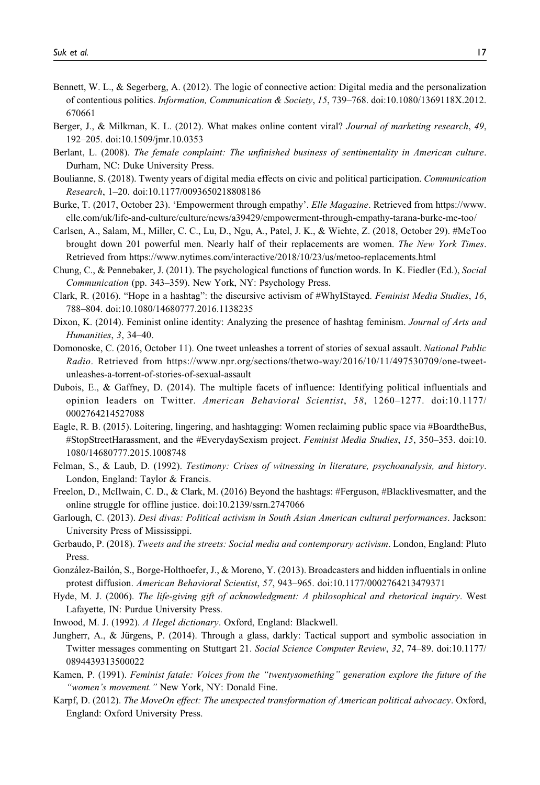- Bennett, W. L., & Segerberg, A. (2012). The logic of connective action: Digital media and the personalization of contentious politics. Information, Communication & Society, 15, 739–768. doi:10.1080/1369118X.2012. 670661
- Berger, J., & Milkman, K. L. (2012). What makes online content viral? Journal of marketing research, 49, 192–205. doi:10.1509/jmr.10.0353
- Berlant, L. (2008). The female complaint: The unfinished business of sentimentality in American culture. Durham, NC: Duke University Press.
- Boulianne, S. (2018). Twenty years of digital media effects on civic and political participation. Communication Research, 1–20. doi:10.1177/0093650218808186
- Burke, T. (2017, October 23). 'Empowerment through empathy'. Elle Magazine. Retrieved from [https://www.](https://www.elle.com/uk/life-and-culture/culture/news/a39429/empowerment-through-empathy-tarana-burke-me-too/) [elle.com/uk/life-and-culture/culture/news/a39429/empowerment-through-empathy-tarana-burke-me-too/](https://www.elle.com/uk/life-and-culture/culture/news/a39429/empowerment-through-empathy-tarana-burke-me-too/)
- Carlsen, A., Salam, M., Miller, C. C., Lu, D., Ngu, A., Patel, J. K., & Wichte, Z. (2018, October 29). #MeToo brought down 201 powerful men. Nearly half of their replacements are women. The New York Times. Retrieved from<https://www.nytimes.com/interactive/2018/10/23/us/metoo-replacements.html>
- Chung, C., & Pennebaker, J. (2011). The psychological functions of function words. In K. Fiedler (Ed.), Social Communication (pp. 343–359). New York, NY: Psychology Press.
- Clark, R. (2016). "Hope in a hashtag": the discursive activism of #WhyIStayed. Feminist Media Studies, 16, 788–804. doi:10.1080/14680777.2016.1138235
- Dixon, K. (2014). Feminist online identity: Analyzing the presence of hashtag feminism. Journal of Arts and Humanities, 3, 34–40.
- Domonoske, C. (2016, October 11). One tweet unleashes a torrent of stories of sexual assault. National Public Radio. Retrieved from [https://www.npr.org/sections/thetwo-way/2016/10/11/497530709/one-tweet](https://www.npr.org/sections/thetwo-way/2016/10/11/497530709/one-tweet-unleashes-a-torrent-of-stories-of-sexual-assault)[unleashes-a-torrent-of-stories-of-sexual-assault](https://www.npr.org/sections/thetwo-way/2016/10/11/497530709/one-tweet-unleashes-a-torrent-of-stories-of-sexual-assault)
- Dubois, E., & Gaffney, D. (2014). The multiple facets of influence: Identifying political influentials and opinion leaders on Twitter. American Behavioral Scientist, 58, 1260–1277. doi:10.1177/ 0002764214527088
- Eagle, R. B. (2015). Loitering, lingering, and hashtagging: Women reclaiming public space via #BoardtheBus, #StopStreetHarassment, and the #EverydaySexism project. Feminist Media Studies, 15, 350–353. doi:10. 1080/14680777.2015.1008748
- Felman, S., & Laub, D. (1992). Testimony: Crises of witnessing in literature, psychoanalysis, and history. London, England: Taylor & Francis.
- Freelon, D., McIlwain, C. D., & Clark, M. (2016) Beyond the hashtags: #Ferguson, #Blacklivesmatter, and the online struggle for offline justice. doi:10.2139/ssrn.2747066
- Garlough, C. (2013). Desi divas: Political activism in South Asian American cultural performances. Jackson: University Press of Mississippi.
- Gerbaudo, P. (2018). Tweets and the streets: Social media and contemporary activism. London, England: Pluto Press.
- González-Bailón, S., Borge-Holthoefer, J., & Moreno, Y. (2013). Broadcasters and hidden influentials in online protest diffusion. American Behavioral Scientist, 57, 943–965. doi:10.1177/0002764213479371
- Hyde, M. J. (2006). The life-giving gift of acknowledgment: A philosophical and rhetorical inquiry. West Lafayette, IN: Purdue University Press.
- Inwood, M. J. (1992). A Hegel dictionary. Oxford, England: Blackwell.
- Jungherr, A., & Jürgens, P. (2014). Through a glass, darkly: Tactical support and symbolic association in Twitter messages commenting on Stuttgart 21. Social Science Computer Review, 32, 74–89. doi:10.1177/ 0894439313500022
- Kamen, P. (1991). Feminist fatale: Voices from the "twentysomething" generation explore the future of the "women's movement." New York, NY: Donald Fine.
- Karpf, D. (2012). The MoveOn effect: The unexpected transformation of American political advocacy. Oxford, England: Oxford University Press.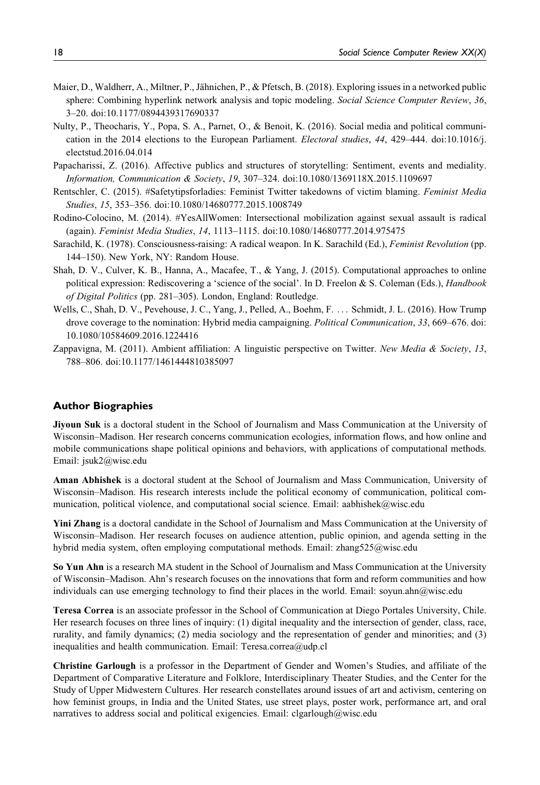- Maier, D., Waldherr, A., Miltner, P., Jähnichen, P., & Pfetsch, B. (2018). Exploring issues in a networked public sphere: Combining hyperlink network analysis and topic modeling. Social Science Computer Review, 36, 3–20. doi:10.1177/0894439317690337
- Nulty, P., Theocharis, Y., Popa, S. A., Parnet, O., & Benoit, K. (2016). Social media and political communication in the 2014 elections to the European Parliament. Electoral studies, 44, 429–444. doi:10.1016/j. electstud.2016.04.014
- Papacharissi, Z. (2016). Affective publics and structures of storytelling: Sentiment, events and mediality. Information, Communication & Society, 19, 307–324. doi:10.1080/1369118X.2015.1109697
- Rentschler, C. (2015). #Safetytipsforladies: Feminist Twitter takedowns of victim blaming. Feminist Media Studies, 15, 353–356. doi:10.1080/14680777.2015.1008749
- Rodino-Colocino, M. (2014). #YesAllWomen: Intersectional mobilization against sexual assault is radical (again). Feminist Media Studies, 14, 1113–1115. doi:10.1080/14680777.2014.975475
- Sarachild, K. (1978). Consciousness-raising: A radical weapon. In K. Sarachild (Ed.), Feminist Revolution (pp. 144–150). New York, NY: Random House.
- Shah, D. V., Culver, K. B., Hanna, A., Macafee, T., & Yang, J. (2015). Computational approaches to online political expression: Rediscovering a 'science of the social'. In D. Freelon & S. Coleman (Eds.), *Handbook* of Digital Politics (pp. 281–305). London, England: Routledge.
- Wells, C., Shah, D. V., Pevehouse, J. C., Yang, J., Pelled, A., Boehm, F. ... Schmidt, J. L. (2016). How Trump drove coverage to the nomination: Hybrid media campaigning. *Political Communication*, 33, 669–676. doi: 10.1080/10584609.2016.1224416
- Zappavigna, M. (2011). Ambient affiliation: A linguistic perspective on Twitter. New Media & Society, 13, 788–806. doi:10.1177/1461444810385097

#### Author Biographies

Jiyoun Suk is a doctoral student in the School of Journalism and Mass Communication at the University of Wisconsin–Madison. Her research concerns communication ecologies, information flows, and how online and mobile communications shape political opinions and behaviors, with applications of computational methods. Email: [jsuk2@wisc.edu](mailto:jsuk2@wisc.edu)

Aman Abhishek is a doctoral student at the School of Journalism and Mass Communication, University of Wisconsin–Madison. His research interests include the political economy of communication, political communication, political violence, and computational social science. Email: [aabhishek@wisc.edu](mailto:aabhishek@wisc.edu)

Yini Zhang is a doctoral candidate in the School of Journalism and Mass Communication at the University of Wisconsin–Madison. Her research focuses on audience attention, public opinion, and agenda setting in the hybrid media system, often employing computational methods. Email: [zhang525@wisc.edu](mailto:zhang525@wisc.edu)

So Yun Ahn is a research MA student in the School of Journalism and Mass Communication at the University of Wisconsin–Madison. Ahn's research focuses on the innovations that form and reform communities and how individuals can use emerging technology to find their places in the world. Email: [soyun.ahn@wisc.edu](mailto:soyun.ahn@wisc.edu)

Teresa Correa is an associate professor in the School of Communication at Diego Portales University, Chile. Her research focuses on three lines of inquiry: (1) digital inequality and the intersection of gender, class, race, rurality, and family dynamics; (2) media sociology and the representation of gender and minorities; and (3) inequalities and health communication. Email: [Teresa.correa@udp.cl](mailto:Teresa.correa@udp.cl)

Christine Garlough is a professor in the Department of Gender and Women's Studies, and affiliate of the Department of Comparative Literature and Folklore, Interdisciplinary Theater Studies, and the Center for the Study of Upper Midwestern Cultures. Her research constellates around issues of art and activism, centering on how feminist groups, in India and the United States, use street plays, poster work, performance art, and oral narratives to address social and political exigencies. Email: [clgarlough@wisc.edu](mailto:clgarlough@wisc.edu)